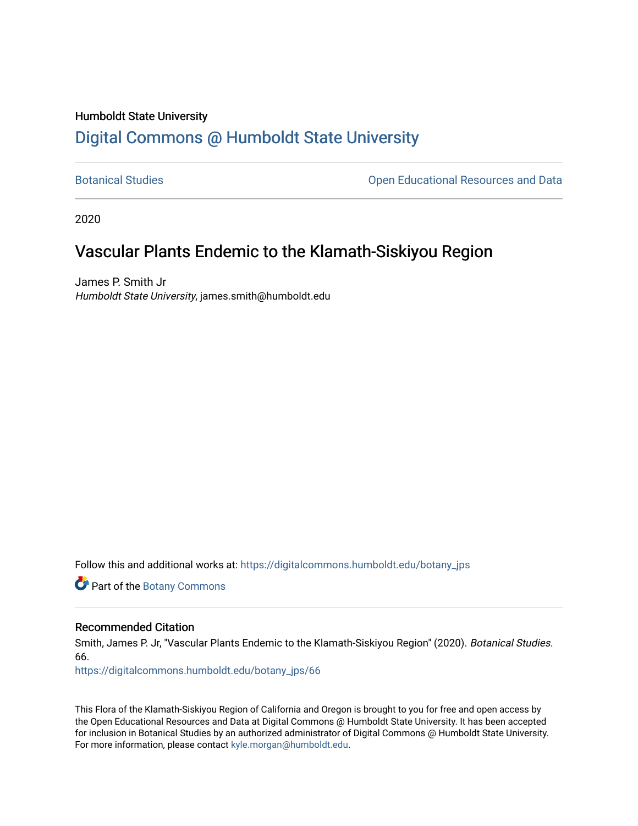# Humboldt State University [Digital Commons @ Humboldt State University](https://digitalcommons.humboldt.edu/)

[Botanical Studies](https://digitalcommons.humboldt.edu/botany_jps) **Botanical Studies Open Educational Resources and Data** 

2020

# Vascular Plants Endemic to the Klamath-Siskiyou Region

James P. Smith Jr Humboldt State University, james.smith@humboldt.edu

Follow this and additional works at: [https://digitalcommons.humboldt.edu/botany\\_jps](https://digitalcommons.humboldt.edu/botany_jps?utm_source=digitalcommons.humboldt.edu%2Fbotany_jps%2F66&utm_medium=PDF&utm_campaign=PDFCoverPages) 

Part of the [Botany Commons](http://network.bepress.com/hgg/discipline/104?utm_source=digitalcommons.humboldt.edu%2Fbotany_jps%2F66&utm_medium=PDF&utm_campaign=PDFCoverPages) 

# Recommended Citation

Smith, James P. Jr, "Vascular Plants Endemic to the Klamath-Siskiyou Region" (2020). Botanical Studies. 66.

[https://digitalcommons.humboldt.edu/botany\\_jps/66](https://digitalcommons.humboldt.edu/botany_jps/66?utm_source=digitalcommons.humboldt.edu%2Fbotany_jps%2F66&utm_medium=PDF&utm_campaign=PDFCoverPages) 

This Flora of the Klamath-Siskiyou Region of California and Oregon is brought to you for free and open access by the Open Educational Resources and Data at Digital Commons @ Humboldt State University. It has been accepted for inclusion in Botanical Studies by an authorized administrator of Digital Commons @ Humboldt State University. For more information, please contact [kyle.morgan@humboldt.edu](mailto:kyle.morgan@humboldt.edu).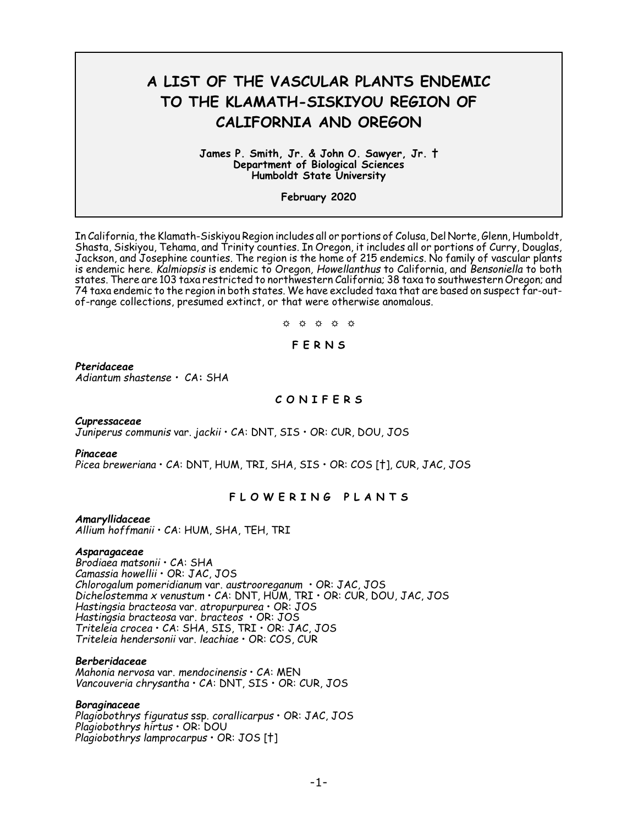# **A LIST OF THE VASCULAR PLANTS ENDEMIC TO THE KLAMATH-SISKIYOU REGION OF CALIFORNIA AND OREGON**

#### **James P. Smith, Jr. & John O. Sawyer, Jr. † Department of Biological Sciences Humboldt State University**

**February 2020**

In California, the Klamath-Siskiyou Region includes all or portions of Colusa, Del Norte, Glenn, Humboldt, Shasta, Siskiyou, Tehama, and Trinity counties. In Oregon, it includes all or portions of Curry, Douglas, Jackson, and Josephine counties. The region is the home of 215 endemics. No family of vascular plants is endemic here. *Kalmiopsis* is endemic to Oregon*, Howellanthus* to California, and *Bensoniella* to both states. There are 103 taxa restricted to northwestern California; 38 taxa to southwestern Oregon; and 74 taxa endemic to the region in both states. We have excluded taxa that are based on suspect far-outof-range collections, presumed extinct, or that were otherwise anomalous.

 $\upphi$   $\upphi$   $\upphi$   $\upphi$   $\upphi$ 

# **F E R N S**

## *Pteridaceae*

*Adiantum shastense •* CA**:** SHA

## **C O N I F E R S**

## *Cupressaceae*

*Juniperus communis* var. *jackii* • CA: DNT, SIS • OR: CUR, DOU, JOS

## *Pinaceae*

*Picea breweriana* • CA: DNT, HUM, TRI, SHA, SIS • OR: COS [†], CUR, JAC, JOS

# **F L O W E R I N G P L A N T S**

## *Amaryllidaceae*

*Allium hoffmanii* • CA: HUM, SHA, TEH, TRI

## *Asparagaceae*

*Brodiaea matsonii* • CA: SHA *Camassia howellii* • OR: JAC, JOS *Chlorogalum pomeridianum* var. *austrooreganum* • OR: JAC, JOS *Dichelostemma x venustum* • CA: DNT, HUM, TRI • OR: CUR, DOU, JAC, JOS *Hastingsia bracteosa* var. *atropurpurea* • OR: JOS *Hastingsia bracteosa* var. *bracteos* • OR: JOS *Triteleia crocea* • CA: SHA, SIS, TRI • OR: JAC, JOS *Triteleia hendersonii* var. *leachiae* • OR: COS, CUR

## *Berberidaceae*

*Mahonia nervosa* var. *mendocinensis* • CA: MEN *Vancouveria chrysantha* • CA: DNT, SIS • OR: CUR, JOS

## *Boraginaceae*

*Plagiobothrys figuratus* ssp. *corallicarpus* • OR: JAC, JOS *Plagiobothrys hirtus* • OR: DOU *Plagiobothrys lamprocarpus* • OR: JOS [†]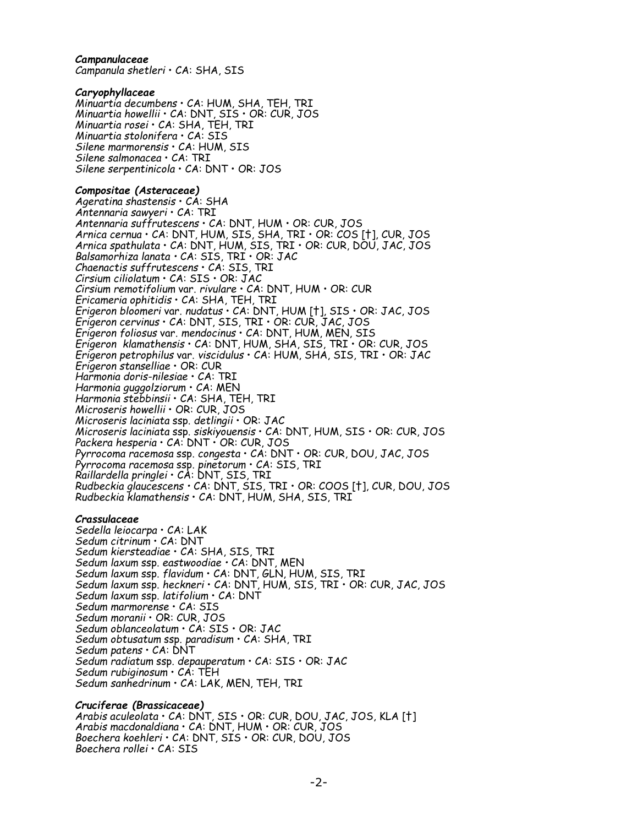## *Campanulaceae*

*Campanula shetleri* • CA: SHA, SIS

## *Caryophyllaceae*

*Minuartia decumbens* • CA: HUM, SHA, TEH, TRI *Minuartia howellii* • CA: DNT, SIS • OR: CUR, JOS *Minuartia rosei* • CA: SHA, TEH, TRI *Minuartia stolonifera* • CA: SIS *Silene marmorensis* • CA: HUM, SIS *Silene salmonacea* • CA: TRI *Silene serpentinicola* • CA: DNT • OR: JOS

## *Compositae (Asteraceae)*

*Ageratina shastensis* • CA: SHA *Antennaria sawyeri* • CA: TRI *Antennaria suffrutescens* • CA: DNT, HUM • OR: CUR, JOS *Arnica cernua* • CA: DNT, HUM, SIS, SHA, TRI • OR: COS [†], CUR, JOS *Arnica spathulata* • CA: DNT, HUM, SIS, TRI • OR: CUR, DOU, JAC, JOS *Balsamorhiza lanata •* CA: SIS, TRI • OR: JAC *Chaenactis suffrutescens* • CA: SIS, TRI *Cirsium ciliolatum* • CA: SIS • OR: JAC *Cirsium remotifolium* var. *rivulare* • CA: DNT, HUM • OR: CUR *Ericameria ophitidis* • CA: SHA, TEH, TRI *Erigeron bloomeri* var. *nudatus* • CA: DNT, HUM [†], SIS • OR: JAC, JOS *Erigeron cervinus* • CA: DNT, SIS, TRI • OR: CUR, JAC, JOS *Erigeron foliosus* var. *mendocinus* • CA: DNT, HUM, MEN, SIS *Erigeron klamathensis* • CA: DNT, HUM, SHA, SIS, TRI • OR: CUR, JOS *Erigeron petrophilus* var. *viscidulus* • CA: HUM, SHA, SIS, TRI • OR: JAC *Erigeron stanselliae* • OR: CUR *Harmonia doris-nilesiae* • CA: TRI *Harmonia guggolziorum* • CA: MEN *Harmonia stebbinsii* • CA: SHA, TEH, TRI *Microseris howellii* • OR: CUR, JOS *Microseris laciniata* ssp. *detlingii* • OR: JAC *Microseris laciniata* ssp. *siskiyouensis* • CA: DNT, HUM, SIS • OR: CUR, JOS *Packera hesperia* • CA: DNT • OR: CUR, JOS *Pyrrocoma racemosa* ssp. *congesta* • CA: DNT • OR: CUR, DOU, JAC, JOS *Pyrrocoma racemosa* ssp. *pinetorum* • CA: SIS, TRI *Raillardella pringlei* • CA: DNT, SIS, TRI *Rudbeckia glaucescens •* CA: DNT, SIS, TRI • OR: COOS [†], CUR, DOU, JOS *Rudbeckia klamathensis* • CA: DNT, HUM, SHA, SIS, TRI

## *Crassulaceae*

*Sedella leiocarpa* • CA: LAK *Sedum citrinum* • CA: DNT *Sedum kiersteadiae* • CA: SHA, SIS, TRI *Sedum laxum* ssp. *eastwoodiae •* CA: DNT, MEN *Sedum laxum* ssp. *flavidum* • CA: DNT, GLN, HUM, SIS, TRI *Sedum laxum* ssp. *heckneri* • CA: DNT, HUM, SIS, TRI • OR: CUR, JAC, JOS *Sedum laxum* ssp. *latifolium* • CA: DNT *Sedum marmorense* • CA: SIS *Sedum moranii* • OR: CUR, JOS *Sedum oblanceolatum* • CA: SIS • OR: JAC *Sedum obtusatum* ssp. *paradisum* • CA: SHA, TRI *Sedum patens* • CA: DNT *Sedum radiatum* ssp*. depauperatum* • CA: SIS • OR: JAC *Sedum rubiginosum* • CA: TEH *Sedum sanhedrinum* • CA: LAK, MEN, TEH, TRI

# *Cruciferae (Brassicaceae)*

*Arabis aculeolata* • CA: DNT, SIS • OR: CUR, DOU, JAC, JOS, KLA [†] *Arabis macdonaldiana* • CA: DNT, HUM • OR: CUR, JOS *Boechera koehleri* • CA: DNT, SIS • OR: CUR, DOU, JOS *Boechera rollei* • CA: SIS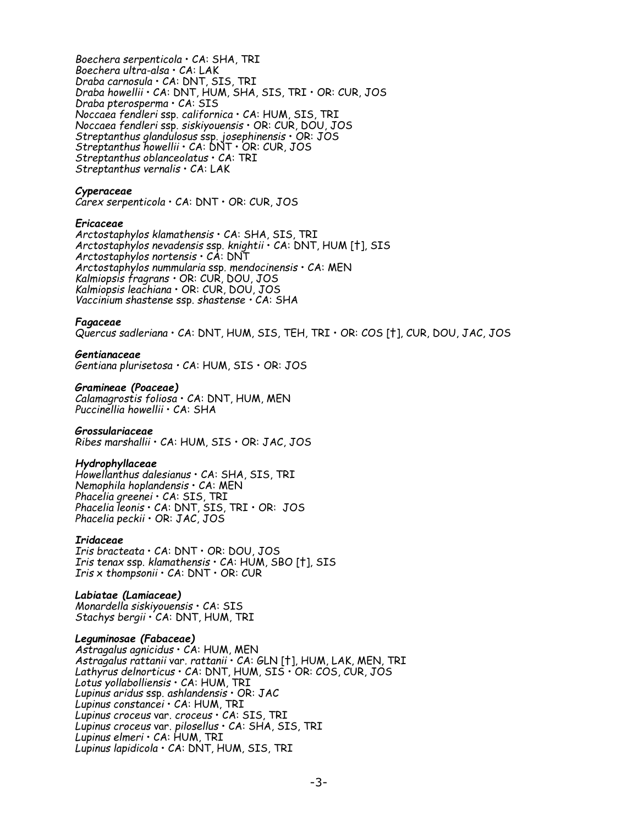*Boechera serpenticola* • CA: SHA, TRI *Boechera ultra-alsa* • CA: LAK *Draba carnosula* • CA: DNT, SIS, TRI *Draba howellii* • CA: DNT, HUM, SHA, SIS, TRI • OR: CUR, JOS *Draba pterosperma* • CA: SIS *Noccaea fendleri* ssp. *californica* • CA: HUM, SIS, TRI *Noccaea fendleri* ssp. *siskiyouensis* • OR: CUR, DOU, JOS *Streptanthus glandulosus* ssp. *josephinensis* • OR: JOS *Streptanthus howellii* • CA: DNT • OR: CUR, JOS *Streptanthus oblanceolatus* • CA: TRI *Streptanthus vernalis* • CA: LAK

## *Cyperaceae*

*Carex serpenticola* • CA: DNT • OR: CUR, JOS

## *Ericaceae*

*Arctostaphylos klamathensis* • CA: SHA, SIS, TRI *Arctostaphylos nevadensis* ssp. *knightii* • CA: DNT, HUM [†], SIS *Arctostaphylos nortensis* • CA: DNT *Arctostaphylos nummularia* ssp*. mendocinensis* • CA: MEN *Kalmiopsis fragrans •* OR: CUR, DOU, JOS *Kalmiopsis leachiana* • OR: CUR, DOU, JOS *Vaccinium shastense* ssp. *shastense •* CA: SHA

## *Fagaceae*

*Quercus sadleriana* • CA: DNT, HUM, SIS, TEH, TRI • OR: COS [†], CUR, DOU, JAC, JOS

## *Gentianaceae*

*Gentiana plurisetosa •* CA: HUM, SIS • OR: JOS

## *Gramineae (Poaceae)*

*Calamagrostis foliosa* • CA: DNT, HUM, MEN *Puccinellia howellii* • CA: SHA

## *Grossulariaceae*

*Ribes marshallii* • CA: HUM, SIS • OR: JAC, JOS

## *Hydrophyllaceae*

*Howellanthus dalesianus* • CA: SHA, SIS, TRI *Nemophila hoplandensis* • CA: MEN *Phacelia greenei* • CA: SIS, TRI *Phacelia leonis* • CA: DNT, SIS, TRI • OR: JOS *Phacelia peckii* • OR: JAC, JOS

## *Iridaceae*

*Iris bracteata* • CA: DNT • OR: DOU, JOS *Iris tenax* ssp. *klamathensis* • CA: HUM, SBO [†], SIS *Iris* x *thompsonii* • CA: DNT • OR: CUR

## *Labiatae (Lamiaceae)*

*Monardella siskiyouensis* • CA: SIS *Stachys bergii* • CA: DNT, HUM, TRI

## *Leguminosae (Fabaceae)*

*Astragalus agnicidus* • CA: HUM, MEN *Astragalus rattanii* var*. rattanii* • CA: GLN [†], HUM, LAK, MEN, TRI *Lathyrus delnorticus* • CA: DNT, HUM, SIS • OR: COS, CUR, JOS *Lotus yollabolliensis* • CA: HUM, TRI *Lupinus aridus* ssp. *ashlandensis* • OR: JAC *Lupinus constancei* • CA: HUM, TRI *Lupinus croceus* var. *croceus* • CA: SIS, TRI *Lupinus croceus* var. *pilosellus* • CA: SHA, SIS, TRI *Lupinus elmeri* • CA: HUM, TRI *Lupinus lapidicola* • CA: DNT, HUM, SIS, TRI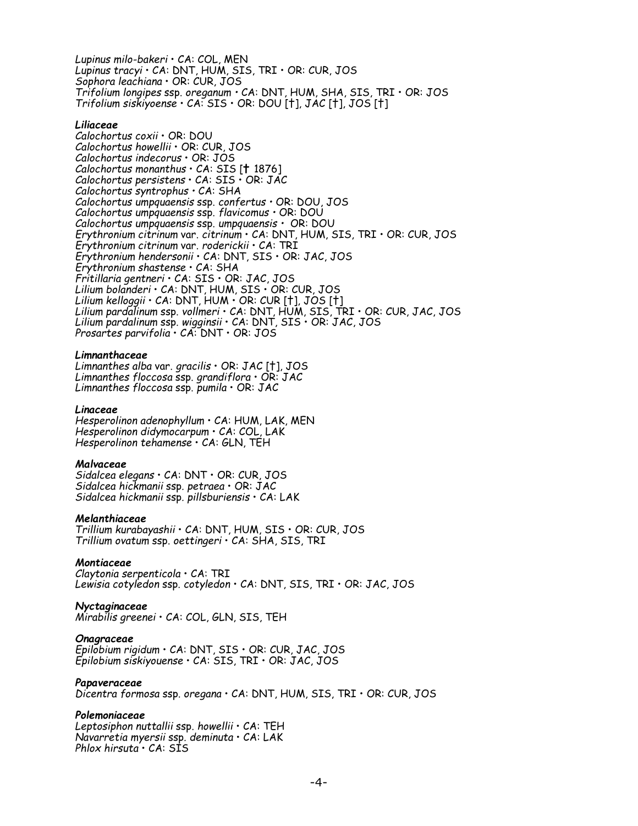*Lupinus milo-bakeri* • CA: COL, MEN *Lupinus tracyi* • CA: DNT, HUM, SIS, TRI • OR: CUR, JOS *Sophora leachiana* • OR: CUR, JOS *Trifolium longipes* ssp. *oreganum •* CA: DNT, HUM, SHA, SIS, TRI • OR: JOS *Trifolium siskiyoense* • CA: SIS • OR: DOU [†], JAC [†], JOS [†]

## *Liliaceae*

*Calochortus coxii* • OR: DOU *Calochortus howellii* • OR: CUR, JOS *Calochortus indecorus* • OR: JOS *Calochortus monanthus* • CA: SIS [**†** 1876] *Calochortus persistens* • CA: SIS • OR: JAC *Calochortus syntrophus •* CA: SHA *Calochortus umpquaensis* ssp. *confertus •* OR: DOU, JOS *Calochortus umpquaensis* ssp. *flavicomus •* OR: DOU *Calochortus umpquaensis* ssp. *umpquaensis •* OR: DOU *Erythronium citrinum* var. *citrinum* • CA: DNT, HUM, SIS, TRI • OR: CUR, JOS *Erythronium citrinum* var. *roderickii* • CA: TRI *Erythronium hendersonii* • CA: DNT, SIS • OR: JAC, JOS *Erythronium shastense* • CA: SHA *Fritillaria gentneri* • CA: SIS • OR: JAC, JOS *Lilium bolanderi* • CA: DNT, HUM, SIS • OR: CUR, JOS *Lilium kelloggii* • CA: DNT, HUM • OR: CUR [†], JOS [†] *Lilium pardalinum* ssp. *vollmeri* • CA: DNT, HUM, SIS, TRI • OR: CUR, JAC, JOS *Lilium pardalinum* ssp. *wigginsii* • CA: DNT, SIS • OR: JAC, JOS *Prosartes parvifolia* • CA: DNT • OR: JOS

#### *Limnanthaceae*

*Limnanthes alba* var. *gracilis* • OR: JAC [†], JOS *Limnanthes floccosa* ssp. *grandiflora* • OR: JAC *Limnanthes floccosa* ssp. *pumila* • OR: JAC

#### *Linaceae*

*Hesperolinon adenophyllum* • CA: HUM, LAK, MEN *Hesperolinon didymocarpum* • CA: COL, LAK *Hesperolinon tehamense* • CA: GLN, TEH

#### *Malvaceae*

*Sidalcea elegans* • CA: DNT • OR: CUR, JOS *Sidalcea hickmanii* ssp*. petraea* • OR: JAC *Sidalcea hickmanii* ssp*. pillsburiensis* • CA: LAK

#### *Melanthiaceae*

*Trillium kurabayashii* • CA: DNT, HUM, SIS • OR: CUR, JOS *Trillium ovatum* ssp. *oettingeri* • CA: SHA, SIS, TRI

#### *Montiaceae*

*Claytonia serpenticola* • CA: TRI *Lewisia cotyledon* ssp. *cotyledon* • CA: DNT, SIS, TRI • OR: JAC, JOS

#### *Nyctaginaceae*

*Mirabilis greenei* • CA: COL, GLN, SIS, TEH

## *Onagraceae*

*Epilobium rigidum* • CA: DNT, SIS • OR: CUR, JAC, JOS *Epilobium siskiyouense* • CA: SIS, TRI • OR: JAC, JOS

## *Papaveraceae*

*Dicentra formosa* ssp. *oregana* • CA: DNT, HUM, SIS, TRI • OR: CUR, JOS

## *Polemoniaceae*

*Leptosiphon nuttallii* ssp. *howellii* • CA: TEH *Navarretia myersii* ssp*. deminuta* • CA: LAK *Phlox hirsuta* • CA: SIS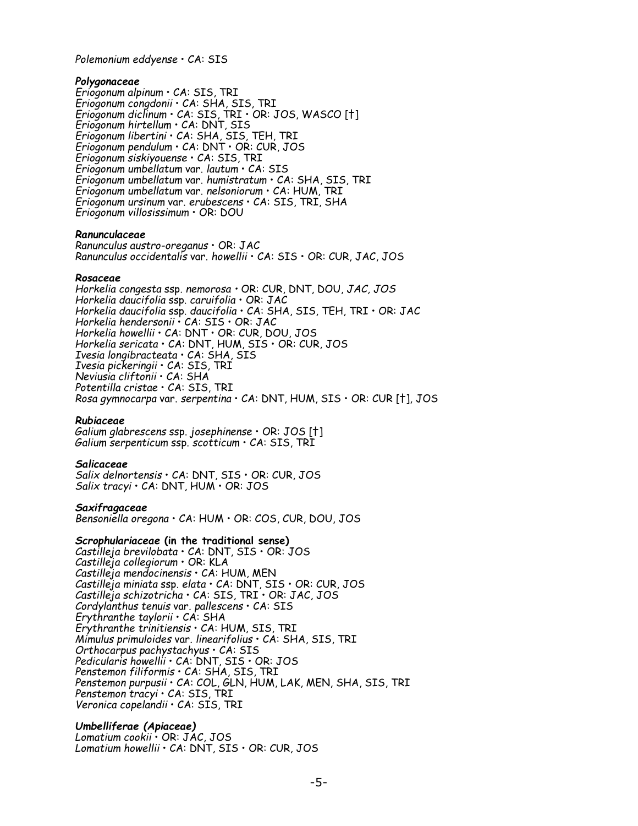*Polemonium eddyense* • CA: SIS

## *Polygonaceae*

*Eriogonum alpinum* • CA: SIS, TRI *Eriogonum congdonii* • CA: SHA, SIS, TRI *Eriogonum diclinum* • CA: SIS, TRI • OR: JOS, WASCO [†] *Eriogonum hirtellum* • CA: DNT, SIS *Eriogonum libertini* • CA: SHA, SIS, TEH, TRI *Eriogonum pendulum* • CA: DNT • OR: CUR, JOS *Eriogonum siskiyouense* • CA: SIS, TRI *Eriogonum umbellatum* var. *lautum* • CA: SIS *Eriogonum umbellatum* var. *humistratum* • CA: SHA, SIS, TRI *Eriogonum umbellatum* var. *nelsoniorum* • CA: HUM, TRI *Eriogonum ursinum* var. *erubescens* • CA: SIS, TRI, SHA *Eriogonum villosissimum* • OR: DOU

## *Ranunculaceae*

*Ranunculus austro-oreganus* • OR: JAC *Ranunculus occidentalis* var. *howellii* • CA: SIS • OR: CUR, JAC, JOS

## *Rosaceae*

*Horkelia congesta* ssp. *nemorosa •* OR: CUR, DNT, DOU, *JAC, JOS Horkelia daucifolia* ssp. *caruifolia* • OR: JAC *Horkelia daucifolia* ssp. *daucifolia* • CA: SHA, SIS, TEH, TRI • OR: JAC *Horkelia hendersonii* • CA: SIS • OR: JAC *Horkelia howellii* • CA: DNT • OR: CUR, DOU, JOS *Horkelia sericata* • CA: DNT, HUM, SIS • OR: CUR, JOS *Ivesia longibracteata* • CA: SHA, SIS *Ivesia pickeringii* • CA: SIS, TRI *Neviusia cliftonii* • CA: SHA *Potentilla cristae* • CA: SIS, TRI *Rosa gymnocarpa* var. *serpentina* • CA: DNT, HUM, SIS • OR: CUR [†], JOS

## *Rubiaceae*

*Galium glabrescens* ssp. *josephinense* • OR: JOS [†] *Galium serpenticum* ssp. *scotticum* • CA: SIS, TRI

## *Salicaceae*

*Salix delnortensis* • CA: DNT, SIS • OR: CUR, JOS *Salix tracyi* • CA: DNT, HUM • OR: JOS

#### *Saxifragaceae*

*Bensoniella oregona* • CA: HUM • OR: COS, CUR, DOU, JOS

## *Scrophulariaceae* **(in the traditional sense)**

*Castilleja brevilobata* • CA: DNT, SIS • OR: JOS *Castilleja collegiorum* • OR: KLA *Castilleja mendocinensis* • CA: HUM, MEN *Castilleja miniata* ssp. *elata* • CA: DNT, SIS • OR: CUR, JOS *Castilleja schizotricha* • CA: SIS, TRI • OR: JAC, JOS *Cordylanthus tenuis* var*. pallescens* • CA: SIS *Erythranthe taylorii* • CA: SHA *Erythranthe trinitiensis* • CA: HUM, SIS, TRI *Mimulus primuloides* var. *linearifolius* • CA: SHA, SIS, TRI *Orthocarpus pachystachyus* • CA: SIS *Pedicularis howellii* • CA: DNT, SIS • OR: JOS *Penstemon filiformis* • CA: SHA, SIS, TRI *Penstemon purpusii* • CA: COL, GLN, HUM, LAK, MEN, SHA, SIS, TRI *Penstemon tracyi* • CA: SIS, TRI *Veronica copelandii* • CA: SIS, TRI

## *Umbelliferae (Apiaceae)*

*Lomatium cookii* • OR: JAC, JOS *Lomatium howellii* • CA: DNT, SIS • OR: CUR, JOS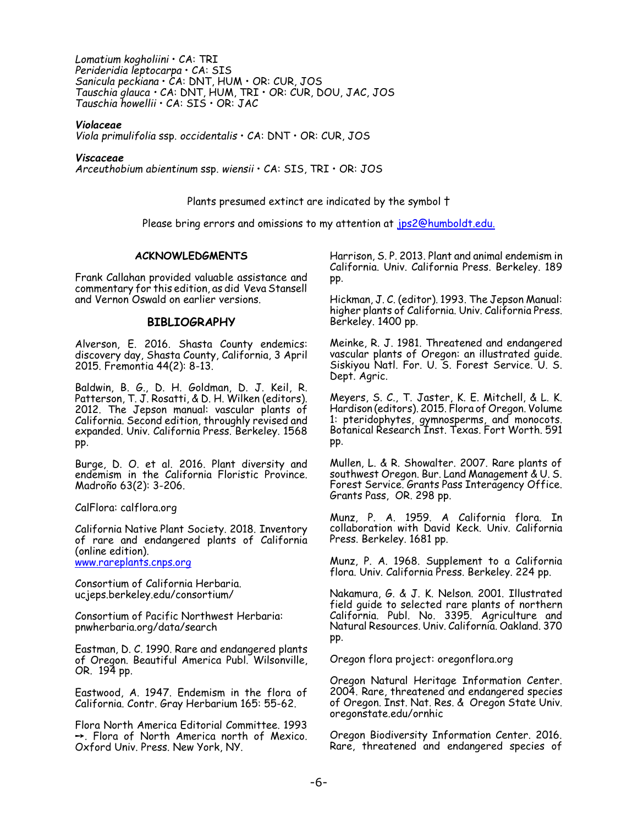*Lomatium kogholiini* • CA: TRI *Perideridia leptocarpa* • CA: SIS *Sanicula peckiana* • CA: DNT, HUM • OR: CUR, JOS *Tauschia glauca •* CA: DNT, HUM, TRI • OR: CUR, DOU, JAC, JOS *Tauschia howellii* • CA: SIS • OR: JAC

## *Violaceae*

*Viola primulifolia* ssp. *occidentalis* • CA: DNT • OR: CUR, JOS

#### *Viscaceae*

*Arceuthobium abientinum* ssp. *wiensii* • CA: SIS, TRI • OR: JOS

Plants presumed extinct are indicated by the symbol †

Please bring errors and omissions to my attention at [jps2@humboldt.edu.](mailto:jps2@humboldt.edu.)

## **ACKNOWLEDGMENTS**

Frank Callahan provided valuable assistance and commentary for this edition, as did Veva Stansell and Vernon Oswald on earlier versions.

## **BIBLIOGRAPHY**

Alverson, E. 2016. Shasta County endemics: discovery day, Shasta County, California, 3 April 2015. Fremontia 44(2): 8-13.

Baldwin, B. G., D. H. Goldman, D. J. Keil, R. Patterson, T. J. Rosatti, & D. H. Wilken (editors). 2012. The Jepson manual: vascular plants of California. Second edition, throughly revised and expanded. Univ. California Press. Berkeley. 1568 pp.

Burge, D. O. et al. 2016. Plant diversity and endemism in the California Floristic Province. Madroño 63(2): 3-206.

CalFlora: calflora.org

California Native Plant Society. 2018. Inventory of rare and endangered plants of California (online edition). [www.rareplants.cnps.org](http://www.rareplants.cnps.org)

Consortium of California Herbaria. ucjeps.berkeley.edu/consortium/

Consortium of Pacific Northwest Herbaria: pnwherbaria.org/data/search

Eastman, D. C. 1990. Rare and endangered plants of Oregon. Beautiful America Publ. Wilsonville, OR. 194 pp.

Eastwood, A. 1947. Endemism in the flora of California. Contr. Gray Herbarium 165: 55-62.

Flora North America Editorial Committee. 1993  $\rightarrow$ . Flora of North America north of Mexico. Oxford Univ. Press. New York, NY.

Harrison, S. P. 2013. Plant and animal endemism in California. Univ. California Press. Berkeley. 189 pp.

Hickman, J. C. (editor). 1993. The Jepson Manual: higher plants of California. Univ. California Press. Berkeley. 1400 pp.

Meinke, R. J. 1981. Threatened and endangered vascular plants of Oregon: an illustrated guide. Siskiyou Natl. For. U. S. Forest Service. U. S. Dept. Agric.

Meyers, S. C., T. Jaster, K. E. Mitchell, & L. K. Hardison (editors). 2015. Flora of Oregon. Volume 1: pteridophytes, gymnosperms, and monocots. Botanical Research Inst. Texas. Fort Worth. 591 pp.

Mullen, L. & R. Showalter. 2007. Rare plants of southwest Oregon. Bur. Land Management & U. S. Forest Service. Grants Pass Interagency Office. Grants Pass, OR. 298 pp.

Munz, P. A. 1959. A California flora. In collaboration with David Keck. Univ. California Press. Berkeley. 1681 pp.

Munz, P. A. 1968. Supplement to a California flora. Univ. California Press. Berkeley. 224 pp.

Nakamura, G. & J. K. Nelson. 2001. Illustrated field guide to selected rare plants of northern California. Publ. No. 3395. Agriculture and Natural Resources. Univ. California. Oakland. 370 pp.

Oregon flora project: oregonflora.org

Oregon Natural Heritage Information Center. 2004. Rare, threatened and endangered species of Oregon. Inst. Nat. Res. & Oregon State Univ. oregonstate.edu/ornhic

Oregon Biodiversity Information Center. 2016. Rare, threatened and endangered species of